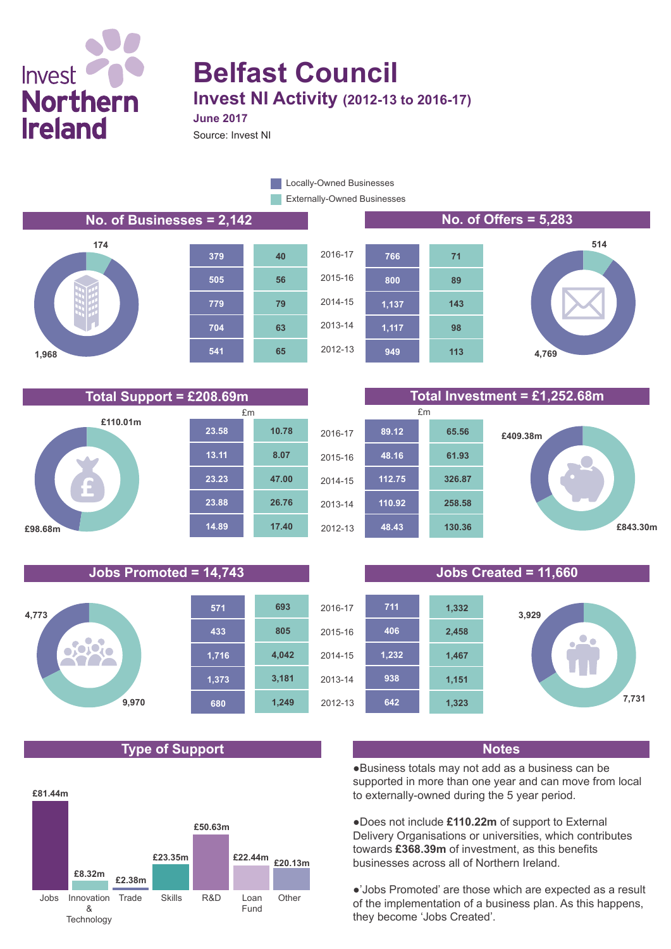# Invest<sup>(</sup> **Northern Ireland**

## **Belfast Council Invest NI Activity (2012-13 to 2016-17) June 2017**

Source: Invest NI

**Externally-Owned Businesses** Locally-Owned Businesses









**Jobs Promoted = 14,743 Jobs Created = 11,660**



### **Type of Support Notes**



**Total Support = £208.69m Total Investment = £1,252.68m**







●Business totals may not add as a business can be supported in more than one year and can move from local to externally-owned during the 5 year period.

●Does not include **£110.22m** of support to External Delivery Organisations or universities, which contributes towards **£368.39m** of investment, as this benefits businesses across all of Northern Ireland.

●'Jobs Promoted' are those which are expected as a result of the implementation of a business plan. As this happens, they become 'Jobs Created'.